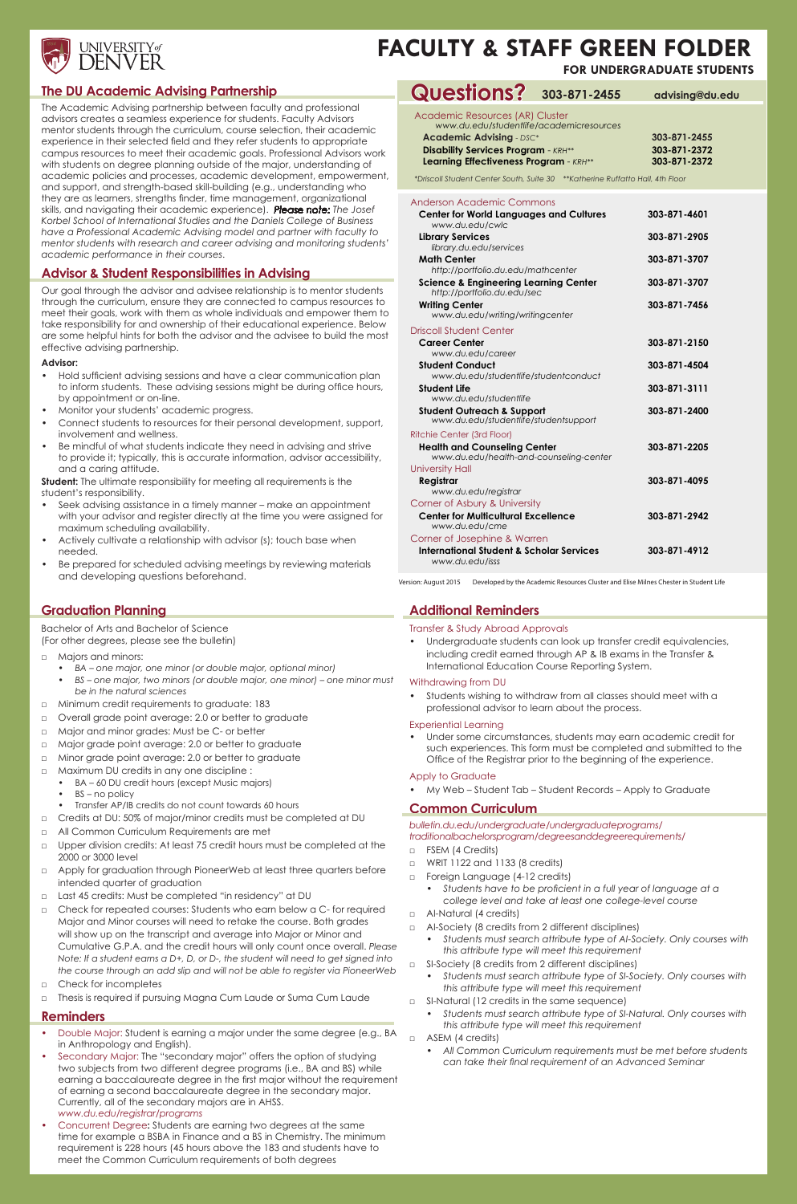

# **FACULTY & STAFF GREEN FOLDER**

#### Anderson Academic Commons

| ANG BULLACQUONNO CONTINUES<br><b>Center for World Languages and Cultures</b><br>www.du.edu/cwlc              | 303-871-4601 |
|--------------------------------------------------------------------------------------------------------------|--------------|
| <b>Library Services</b>                                                                                      | 303-871-2905 |
| library.du.edu/services<br><b>Math Center</b><br>http://portfolio.du.edu/mathcenter                          | 303-871-3707 |
| <b>Science &amp; Engineering Learning Center</b><br>http://portfolio.du.edu/sec                              | 303-871-3707 |
| <b>Writing Center</b><br>www.du.edu/writing/writingcenter                                                    | 303-871-7456 |
| <b>Driscoll Student Center</b>                                                                               |              |
| <b>Career Center</b><br>www.du.edu/career                                                                    | 303-871-2150 |
| <b>Student Conduct</b><br>www.du.edu/studentlife/studentconduct                                              | 303-871-4504 |
| <b>Student Life</b><br>www.du.edu/studentlife                                                                | 303-871-3111 |
| <b>Student Outreach &amp; Support</b><br>www.du.edu/studentlife/studentsupport                               | 303-871-2400 |
| Ritchie Center (3rd Floor)<br><b>Health and Counseling Center</b><br>www.du.edu/health-and-counseling-center | 303-871-2205 |
| <b>University Hall</b>                                                                                       |              |
| Registrar<br>www.du.edu/registrar                                                                            | 303-871-4095 |
| Corner of Asbury & University                                                                                |              |
| <b>Center for Multicultural Excellence</b><br>www.du.edu/cme                                                 | 303-871-2942 |
| Corner of Josephine & Warren                                                                                 |              |
| <b>International Student &amp; Scholar Services</b><br>www.du.edu/isss                                       | 303-871-4912 |

Version: August 2015 Developed by the Academic Resources Cluster and Elise Milnes Chester in Student Life

Academic Resources (AR) Cluster

| www.du.edu/studentlife/academicresources |              |
|------------------------------------------|--------------|
| <b>Academic Advising - DSC*</b>          | 303-871-2455 |
| Disability Services Program - KRH**/     | 303-871-2372 |

| <b>PISODIIIIY SEIVICES FIOGIQIIII - AKA</b> | 303-071-4372 |
|---------------------------------------------|--------------|
| Learning Effectiveness Program - KRH**      | 303-871-2372 |

*\*Driscoll Student Center South, Suite 30 \*\*Katherine Ruffatto Hall, 4th Floor*

# **The DU Academic Advising Partnership**

**Student:** The ultimate responsibility for meeting all requirements is the student's responsibility.

The Academic Advising partnership between faculty and professional advisors creates a seamless experience for students. Faculty Advisors mentor students through the curriculum, course selection, their academic experience in their selected field and they refer students to appropriate campus resources to meet their academic goals. Professional Advisors work with students on degree planning outside of the major, understanding of academic policies and processes, academic development, empowerment, and support, and strength-based skill-building (e.g., understanding who they are as learners, strengths finder, time management, organizational skills, and navigating their academic experience). *Please note: The Josef Korbel School of International Studies and the Daniels College of Business have a Professional Academic Advising model and partner with faculty to mentor students with research and career advising and monitoring students' academic performance in their courses*.

## **Advisor & Student Responsibilities in Advising**

Our goal through the advisor and advisee relationship is to mentor students through the curriculum, ensure they are connected to campus resources to meet their goals, work with them as whole individuals and empower them to take responsibility for and ownership of their educational experience. Below are some helpful hints for both the advisor and the advisee to build the most effective advising partnership.

- □ FSEM (4 Credits)
- □ WRIT 1122 and 1133 (8 credits)
- □ Foreign Language (4-12 credits)
	- *• Students have to be proficient in a full year of language at a college level and take at least one college-level course*
- □ Al-Natural (4 credits)
- □ AI-Society (8 credits from 2 different disciplines)
	- *• Students must search attribute type of AI-Society. Only courses with this attribute type will meet this requirement*
- □ SI-Society (8 credits from 2 different disciplines)
	- *• Students must search attribute type of SI-Society. Only courses with this attribute type will meet this requirement*
- □ SI-Natural (12 credits in the same sequence)
	- *• Students must search attribute type of SI-Natural. Only courses with this attribute type will meet this requirement*
- □ ASEM (4 credits)
	- *• All Common Curriculum requirements must be met before students can take their final requirement of an Advanced Seminar*

#### **Advisor:**

- Hold sufficient advising sessions and have a clear communication plan to inform students. These advising sessions might be during office hours, by appointment or on-line.
- Monitor your students' academic progress.
- Connect students to resources for their personal development, support, involvement and wellness.
- Be mindful of what students indicate they need in advising and strive to provide it; typically, this is accurate information, advisor accessibility, and a caring attitude.

- □ Majors and minors:
	- *• BA one major, one minor (or double major, optional minor)*
	- *• BS one major, two minors (or double major, one minor) one minor must be in the natural sciences*
- □ Minimum credit requirements to graduate: 183
- □ Overall grade point average: 2.0 or better to graduate
- □ Major and minor grades: Must be C- or better
- □ Major grade point average: 2.0 or better to graduate
- □ Minor grade point average: 2.0 or better to graduate
- □ Maximum DU credits in any one discipline :
	- BA 60 DU credit hours (except Music majors)
	- BS no policy
	- Transfer AP/IB credits do not count towards 60 hours
- Credits at DU: 50% of major/minor credits must be completed at DU
- All Common Curriculum Requirements are met
- □ Upper division credits: At least 75 credit hours must be completed at the
- Seek advising assistance in a timely manner make an appointment with your advisor and register directly at the time you were assigned for maximum scheduling availability.
- Actively cultivate a relationship with advisor (s); touch base when needed.
- Be prepared for scheduled advising meetings by reviewing materials and developing questions beforehand.

**FOR UNDERGRADUATE STUDENTS**

#### **Questions? 303-871-2455 advising@du.edu**

# **Additional Reminders**

#### Transfer & Study Abroad Approvals

• Undergraduate students can look up transfer credit equivalencies, including credit earned through AP & IB exams in the Transfer & International Education Course Reporting System.

#### Withdrawing from DU

• Students wishing to withdraw from all classes should meet with a professional advisor to learn about the process.

#### Experiential Learning

• Under some circumstances, students may earn academic credit for such experiences. This form must be completed and submitted to the Office of the Registrar prior to the beginning of the experience.

## Apply to Graduate

• My Web – Student Tab – Student Records – Apply to Graduate

# **Common Curriculum**

*bulletin.du.edu/undergraduate/undergraduateprograms/ traditionalbachelorsprogram/degreesanddegreerequirements/*

# **Graduation Planning**

Bachelor of Arts and Bachelor of Science (For other degrees, please see the bulletin)

- 2000 or 3000 level
- □ Apply for graduation through PioneerWeb at least three quarters before intended quarter of graduation
- □ Last 45 credits: Must be completed "in residency" at DU
- □ Check for repeated courses: Students who earn below a C- for required Major and Minor courses will need to retake the course. Both grades will show up on the transcript and average into Major or Minor and Cumulative G.P.A. and the credit hours will only count once overall. *Please Note: If a student earns a D+, D, or D-, the student will need to get signed into the course through an add slip and will not be able to register via PioneerWeb*
- □ Check for incompletes
- □ Thesis is required if pursuing Magna Cum Laude or Suma Cum Laude

# **Reminders**

- Double Major: Student is earning a major under the same degree (e.g., BA in Anthropology and English).
- Secondary Major: The "secondary major" offers the option of studying two subjects from two different degree programs (i.e., BA and BS) while earning a baccalaureate degree in the first major without the requirement of earning a second baccalaureate degree in the secondary major. Currently, all of the secondary majors are in AHSS. *www.du.edu/registrar/programs*
- Concurrent Degree**:** Students are earning two degrees at the same time for example a BSBA in Finance and a BS in Chemistry. The minimum requirement is 228 hours (45 hours above the 183 and students have to meet the Common Curriculum requirements of both degrees